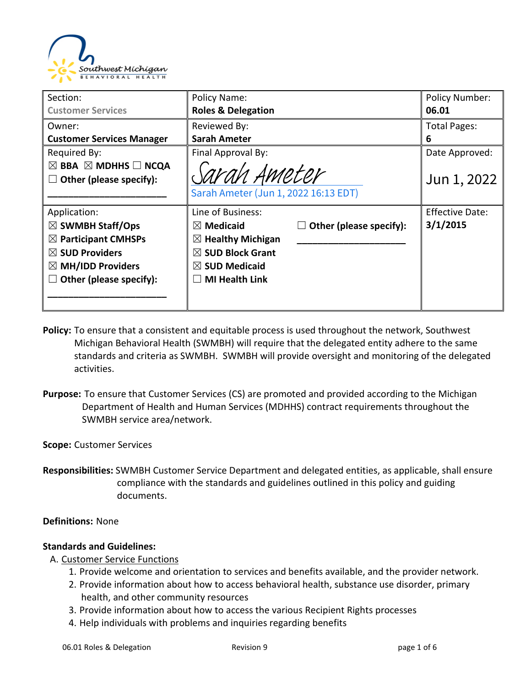

| Section:                                      | Policy Name:                         |                         | <b>Policy Number:</b>  |
|-----------------------------------------------|--------------------------------------|-------------------------|------------------------|
| <b>Customer Services</b>                      | <b>Roles &amp; Delegation</b>        |                         | 06.01                  |
| Owner:                                        | Reviewed By:                         |                         | <b>Total Pages:</b>    |
| <b>Customer Services Manager</b>              | <b>Sarah Ameter</b>                  |                         | 6                      |
| Required By:                                  | Final Approval By:                   |                         | Date Approved:         |
| $\boxtimes$ BBA $\boxtimes$ MDHHS $\Box$ NCQA |                                      |                         |                        |
| Other (please specify):                       | Sarah Ameter                         |                         | Jun 1, 2022            |
|                                               | Sarah Ameter (Jun 1, 2022 16:13 EDT) |                         |                        |
| Application:                                  | Line of Business:                    |                         | <b>Effective Date:</b> |
| $\boxtimes$ SWMBH Staff/Ops                   | $\boxtimes$ Medicaid                 | Other (please specify): | 3/1/2015               |
| $\boxtimes$ Participant CMHSPs                | $\boxtimes$ Healthy Michigan         |                         |                        |
| $\boxtimes$ SUD Providers                     | $\boxtimes$ SUD Block Grant          |                         |                        |
| $\boxtimes$ MH/IDD Providers                  | $\boxtimes$ SUD Medicaid             |                         |                        |
| Other (please specify):                       | <b>MI Health Link</b>                |                         |                        |
|                                               |                                      |                         |                        |
|                                               |                                      |                         |                        |

- **Policy:** To ensure that a consistent and equitable process is used throughout the network, Southwest Michigan Behavioral Health (SWMBH) will require that the delegated entity adhere to the same standards and criteria as SWMBH. SWMBH will provide oversight and monitoring of the delegated activities.
- **Purpose:** To ensure that Customer Services (CS) are promoted and provided according to the Michigan Department of Health and Human Services (MDHHS) contract requirements throughout the SWMBH service area/network.

#### **Scope:** Customer Services

**Responsibilities:** SWMBH Customer Service Department and delegated entities, as applicable, shall ensure compliance with the standards and guidelines outlined in this policy and guiding documents.

#### **Definitions:** None

#### **Standards and Guidelines:**

- A. Customer Service Functions
	- 1. Provide welcome and orientation to services and benefits available, and the provider network.
	- 2. Provide information about how to access behavioral health, substance use disorder, primary health, and other community resources
	- 3. Provide information about how to access the various Recipient Rights processes
	- 4. Help individuals with problems and inquiries regarding benefits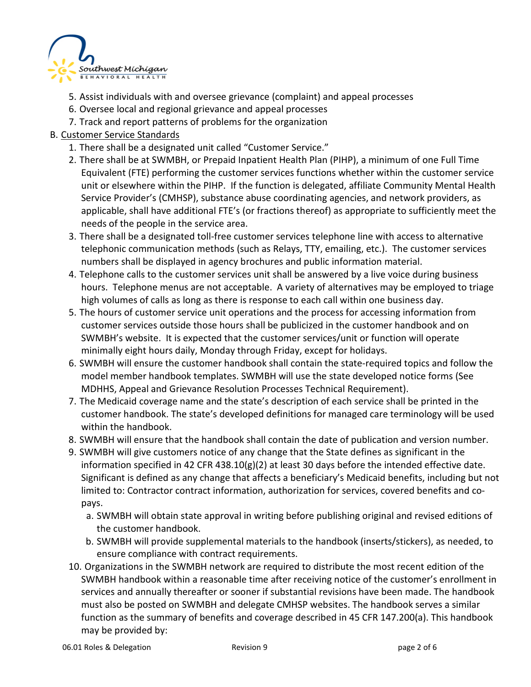

- 5. Assist individuals with and oversee grievance (complaint) and appeal processes
- 6. Oversee local and regional grievance and appeal processes
- 7. Track and report patterns of problems for the organization

## B. Customer Service Standards

- 1. There shall be a designated unit called "Customer Service."
- 2. There shall be at SWMBH, or Prepaid Inpatient Health Plan (PIHP), a minimum of one Full Time Equivalent (FTE) performing the customer services functions whether within the customer service unit or elsewhere within the PIHP. If the function is delegated, affiliate Community Mental Health Service Provider's (CMHSP), substance abuse coordinating agencies, and network providers, as applicable, shall have additional FTE's (or fractions thereof) as appropriate to sufficiently meet the needs of the people in the service area.
- 3. There shall be a designated toll-free customer services telephone line with access to alternative telephonic communication methods (such as Relays, TTY, emailing, etc.). The customer services numbers shall be displayed in agency brochures and public information material.
- 4. Telephone calls to the customer services unit shall be answered by a live voice during business hours. Telephone menus are not acceptable. A variety of alternatives may be employed to triage high volumes of calls as long as there is response to each call within one business day.
- 5. The hours of customer service unit operations and the process for accessing information from customer services outside those hours shall be publicized in the customer handbook and on SWMBH's website. It is expected that the customer services/unit or function will operate minimally eight hours daily, Monday through Friday, except for holidays.
- 6. SWMBH will ensure the customer handbook shall contain the state-required topics and follow the model member handbook templates. SWMBH will use the state developed notice forms (See MDHHS, Appeal and Grievance Resolution Processes Technical Requirement).
- 7. The Medicaid coverage name and the state's description of each service shall be printed in the customer handbook. The state's developed definitions for managed care terminology will be used within the handbook.
- 8. SWMBH will ensure that the handbook shall contain the date of publication and version number.
- 9. SWMBH will give customers notice of any change that the State defines as significant in the information specified in 42 CFR 438.10( $g$ )(2) at least 30 days before the intended effective date. Significant is defined as any change that affects a beneficiary's Medicaid benefits, including but not limited to: Contractor contract information, authorization for services, covered benefits and copays.
	- a. SWMBH will obtain state approval in writing before publishing original and revised editions of the customer handbook.
	- b. SWMBH will provide supplemental materials to the handbook (inserts/stickers), as needed, to ensure compliance with contract requirements.
- 10. Organizations in the SWMBH network are required to distribute the most recent edition of the SWMBH handbook within a reasonable time after receiving notice of the customer's enrollment in services and annually thereafter or sooner if substantial revisions have been made. The handbook must also be posted on SWMBH and delegate CMHSP websites. The handbook serves a similar function as the summary of benefits and coverage described in 45 CFR 147.200(a). This handbook may be provided by: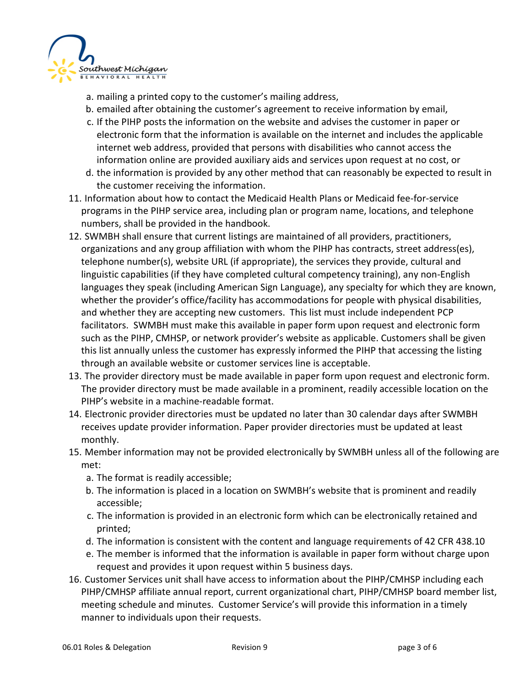

- a. mailing a printed copy to the customer's mailing address,
- b. emailed after obtaining the customer's agreement to receive information by email,
- c. If the PIHP posts the information on the website and advises the customer in paper or electronic form that the information is available on the internet and includes the applicable internet web address, provided that persons with disabilities who cannot access the information online are provided auxiliary aids and services upon request at no cost, or
- d. the information is provided by any other method that can reasonably be expected to result in the customer receiving the information.
- 11. Information about how to contact the Medicaid Health Plans or Medicaid fee-for-service programs in the PIHP service area, including plan or program name, locations, and telephone numbers, shall be provided in the handbook.
- 12. SWMBH shall ensure that current listings are maintained of all providers, practitioners, organizations and any group affiliation with whom the PIHP has contracts, street address(es), telephone number(s), website URL (if appropriate), the services they provide, cultural and linguistic capabilities (if they have completed cultural competency training), any non-English languages they speak (including American Sign Language), any specialty for which they are known, whether the provider's office/facility has accommodations for people with physical disabilities, and whether they are accepting new customers. This list must include independent PCP facilitators. SWMBH must make this available in paper form upon request and electronic form such as the PIHP, CMHSP, or network provider's website as applicable. Customers shall be given this list annually unless the customer has expressly informed the PIHP that accessing the listing through an available website or customer services line is acceptable.
- 13. The provider directory must be made available in paper form upon request and electronic form. The provider directory must be made available in a prominent, readily accessible location on the PIHP's website in a machine-readable format.
- 14. Electronic provider directories must be updated no later than 30 calendar days after SWMBH receives update provider information. Paper provider directories must be updated at least monthly.
- 15. Member information may not be provided electronically by SWMBH unless all of the following are met:
	- a. The format is readily accessible;
	- b. The information is placed in a location on SWMBH's website that is prominent and readily accessible;
	- c. The information is provided in an electronic form which can be electronically retained and printed;
	- d. The information is consistent with the content and language requirements of 42 CFR 438.10
	- e. The member is informed that the information is available in paper form without charge upon request and provides it upon request within 5 business days.
- 16. Customer Services unit shall have access to information about the PIHP/CMHSP including each PIHP/CMHSP affiliate annual report, current organizational chart, PIHP/CMHSP board member list, meeting schedule and minutes. Customer Service's will provide this information in a timely manner to individuals upon their requests.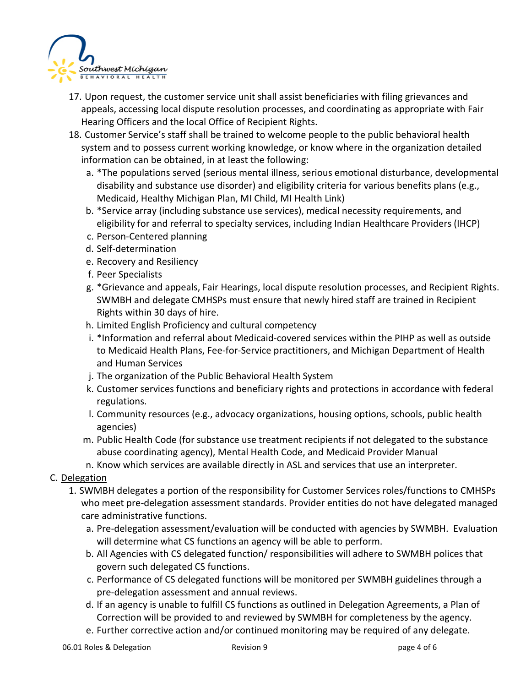

- 17. Upon request, the customer service unit shall assist beneficiaries with filing grievances and appeals, accessing local dispute resolution processes, and coordinating as appropriate with Fair Hearing Officers and the local Office of Recipient Rights.
- 18. Customer Service's staff shall be trained to welcome people to the public behavioral health system and to possess current working knowledge, or know where in the organization detailed information can be obtained, in at least the following:
	- a. \*The populations served (serious mental illness, serious emotional disturbance, developmental disability and substance use disorder) and eligibility criteria for various benefits plans (e.g., Medicaid, Healthy Michigan Plan, MI Child, MI Health Link)
	- b. \*Service array (including substance use services), medical necessity requirements, and eligibility for and referral to specialty services, including Indian Healthcare Providers (IHCP)
	- c. Person-Centered planning
	- d. Self-determination
	- e. Recovery and Resiliency
	- f. Peer Specialists
	- g. \*Grievance and appeals, Fair Hearings, local dispute resolution processes, and Recipient Rights. SWMBH and delegate CMHSPs must ensure that newly hired staff are trained in Recipient Rights within 30 days of hire.
	- h. Limited English Proficiency and cultural competency
	- i. \*Information and referral about Medicaid-covered services within the PIHP as well as outside to Medicaid Health Plans, Fee-for-Service practitioners, and Michigan Department of Health and Human Services
	- j. The organization of the Public Behavioral Health System
	- k. Customer services functions and beneficiary rights and protections in accordance with federal regulations.
	- l. Community resources (e.g., advocacy organizations, housing options, schools, public health agencies)
	- m. Public Health Code (for substance use treatment recipients if not delegated to the substance abuse coordinating agency), Mental Health Code, and Medicaid Provider Manual
	- n. Know which services are available directly in ASL and services that use an interpreter.
- C. Delegation
	- 1. SWMBH delegates a portion of the responsibility for Customer Services roles/functions to CMHSPs who meet pre-delegation assessment standards. Provider entities do not have delegated managed care administrative functions.
		- a. Pre-delegation assessment/evaluation will be conducted with agencies by SWMBH. Evaluation will determine what CS functions an agency will be able to perform.
		- b. All Agencies with CS delegated function/ responsibilities will adhere to SWMBH polices that govern such delegated CS functions.
		- c. Performance of CS delegated functions will be monitored per SWMBH guidelines through a pre-delegation assessment and annual reviews.
		- d. If an agency is unable to fulfill CS functions as outlined in Delegation Agreements, a Plan of Correction will be provided to and reviewed by SWMBH for completeness by the agency.
		- e. Further corrective action and/or continued monitoring may be required of any delegate.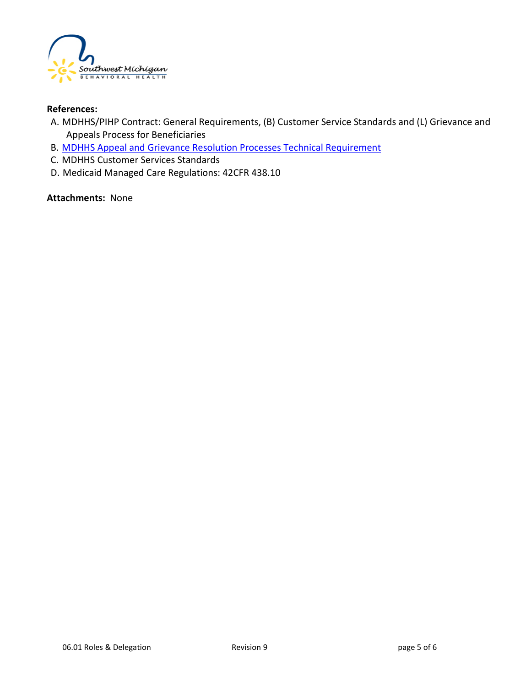

#### **References:**

- A. MDHHS/PIHP Contract: General Requirements, (B) Customer Service Standards and (L) Grievance and Appeals Process for Beneficiaries
- B. [MDHHS Appeal and Grievance Resolution Processes Technical Requirement](https://www.michigan.gov/documents/mdhhs/Appeal-and-Grievance-Resolution-Processes-Technical-Requirement_704451_7.pdf)
- C. MDHHS Customer Services Standards
- D. Medicaid Managed Care Regulations: 42CFR 438.10

#### **Attachments:** None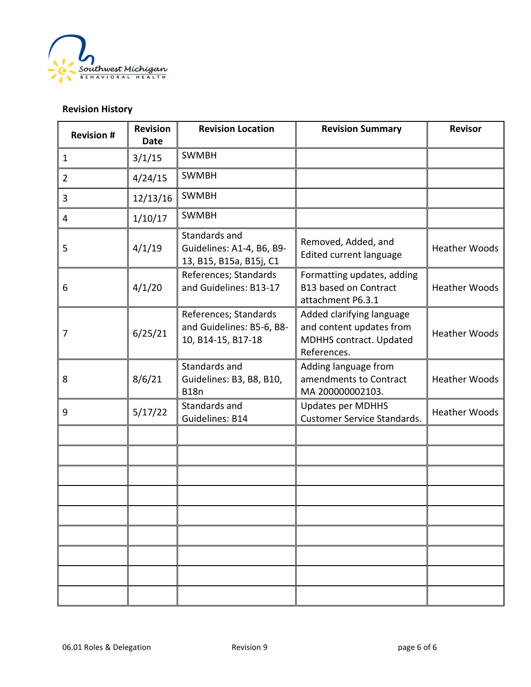

### **Revision History**

| <b>Revision #</b> | Revision<br><b>Date</b> | <b>Revision Location</b>                                                 | <b>Revision Summary</b>                                                                                | <b>Revisor</b>       |
|-------------------|-------------------------|--------------------------------------------------------------------------|--------------------------------------------------------------------------------------------------------|----------------------|
| $\mathbf{1}$      | 3/1/15                  | <b>SWMBH</b>                                                             |                                                                                                        |                      |
| $\overline{2}$    | 4/24/15                 | <b>SWMBH</b>                                                             |                                                                                                        |                      |
| 3                 | 12/13/16                | <b>SWMBH</b>                                                             |                                                                                                        |                      |
| 4                 | 1/10/17                 | <b>SWMBH</b>                                                             |                                                                                                        |                      |
| 5                 | 4/1/19                  | Standards and<br>Guidelines: A1-4, B6, B9-<br>13, B15, B15a, B15j, C1    | Removed, Added, and<br>Edited current language                                                         | <b>Heather Woods</b> |
| 6                 | 4/1/20                  | References; Standards<br>and Guidelines: B13-17                          | Formatting updates, adding<br><b>B13 based on Contract</b><br>attachment P6.3.1                        | <b>Heather Woods</b> |
| 7                 | 6/25/21                 | References; Standards<br>and Guidelines: B5-6, B8-<br>10, B14-15, B17-18 | Added clarifying language<br>and content updates from<br><b>MDHHS</b> contract. Updated<br>References. | <b>Heather Woods</b> |
| 8                 | 8/6/21                  | Standards and<br>Guidelines: B3, B8, B10,<br><b>B18n</b>                 | Adding language from<br>amendments to Contract<br>MA 200000002103.                                     | <b>Heather Woods</b> |
| 9                 | 5/17/22                 | Standards and<br>Guidelines: B14                                         | <b>Updates per MDHHS</b><br><b>Customer Service Standards.</b>                                         | <b>Heather Woods</b> |
|                   |                         |                                                                          |                                                                                                        |                      |
|                   |                         |                                                                          |                                                                                                        |                      |
|                   |                         |                                                                          |                                                                                                        |                      |
|                   |                         |                                                                          |                                                                                                        |                      |
|                   |                         |                                                                          |                                                                                                        |                      |
|                   |                         |                                                                          |                                                                                                        |                      |
|                   |                         |                                                                          |                                                                                                        |                      |
|                   |                         |                                                                          |                                                                                                        |                      |
|                   |                         |                                                                          |                                                                                                        |                      |